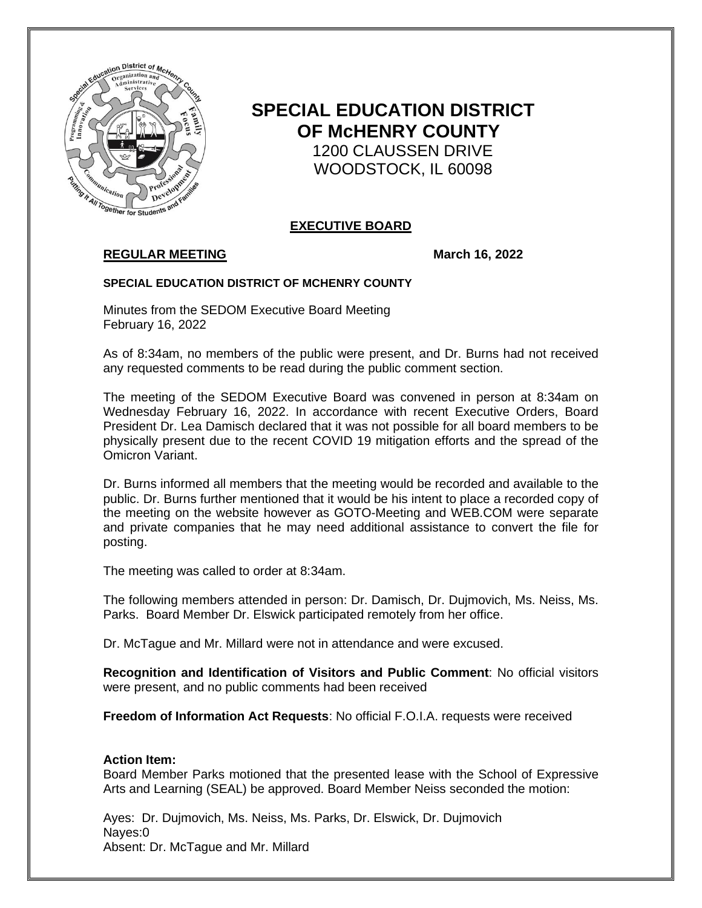

# **SPECIAL EDUCATION DISTRICT OF McHENRY COUNTY** 1200 CLAUSSEN DRIVE WOODSTOCK, IL 60098

## **EXECUTIVE BOARD**

# **REGULAR MEETING March 16, 2022**

#### **SPECIAL EDUCATION DISTRICT OF MCHENRY COUNTY**

Minutes from the SEDOM Executive Board Meeting February 16, 2022

As of 8:34am, no members of the public were present, and Dr. Burns had not received any requested comments to be read during the public comment section.

The meeting of the SEDOM Executive Board was convened in person at 8:34am on Wednesday February 16, 2022. In accordance with recent Executive Orders, Board President Dr. Lea Damisch declared that it was not possible for all board members to be physically present due to the recent COVID 19 mitigation efforts and the spread of the Omicron Variant.

Dr. Burns informed all members that the meeting would be recorded and available to the public. Dr. Burns further mentioned that it would be his intent to place a recorded copy of the meeting on the website however as GOTO-Meeting and WEB.COM were separate and private companies that he may need additional assistance to convert the file for posting.

The meeting was called to order at 8:34am.

The following members attended in person: Dr. Damisch, Dr. Dujmovich, Ms. Neiss, Ms. Parks. Board Member Dr. Elswick participated remotely from her office.

Dr. McTague and Mr. Millard were not in attendance and were excused.

**Recognition and Identification of Visitors and Public Comment**: No official visitors were present, and no public comments had been received

**Freedom of Information Act Requests**: No official F.O.I.A. requests were received

### **Action Item:**

Board Member Parks motioned that the presented lease with the School of Expressive Arts and Learning (SEAL) be approved. Board Member Neiss seconded the motion:

Ayes: Dr. Dujmovich, Ms. Neiss, Ms. Parks, Dr. Elswick, Dr. Dujmovich Nayes:0 Absent: Dr. McTague and Mr. Millard